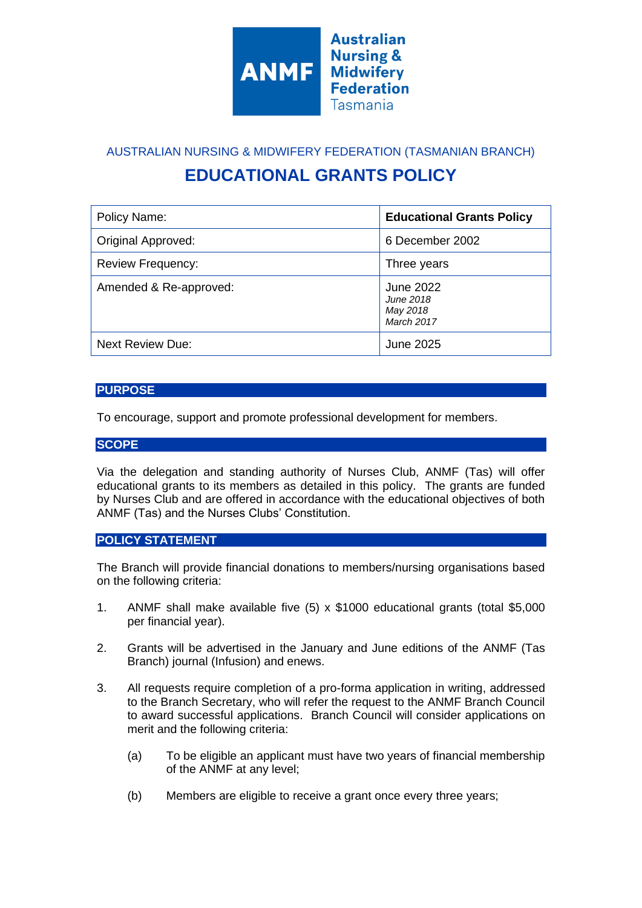

AUSTRALIAN NURSING & MIDWIFERY FEDERATION (TASMANIAN BRANCH) **EDUCATIONAL GRANTS POLICY**

| Policy Name:             | <b>Educational Grants Policy</b>                        |
|--------------------------|---------------------------------------------------------|
| Original Approved:       | 6 December 2002                                         |
| <b>Review Frequency:</b> | Three years                                             |
| Amended & Re-approved:   | <b>June 2022</b><br>June 2018<br>May 2018<br>March 2017 |
| <b>Next Review Due:</b>  | June 2025                                               |

## **PURPOSE**

To encourage, support and promote professional development for members.

## **SCOPE**

Via the delegation and standing authority of Nurses Club, ANMF (Tas) will offer educational grants to its members as detailed in this policy. The grants are funded by Nurses Club and are offered in accordance with the educational objectives of both ANMF (Tas) and the Nurses Clubs' Constitution.

## **POLICY STATEMENT**

The Branch will provide financial donations to members/nursing organisations based on the following criteria:

- 1. ANMF shall make available five (5) x \$1000 educational grants (total \$5,000 per financial year).
- 2. Grants will be advertised in the January and June editions of the ANMF (Tas Branch) journal (Infusion) and enews.
- 3. All requests require completion of a pro-forma application in writing, addressed to the Branch Secretary, who will refer the request to the ANMF Branch Council to award successful applications. Branch Council will consider applications on merit and the following criteria:
	- (a) To be eligible an applicant must have two years of financial membership of the ANMF at any level;
	- (b) Members are eligible to receive a grant once every three years;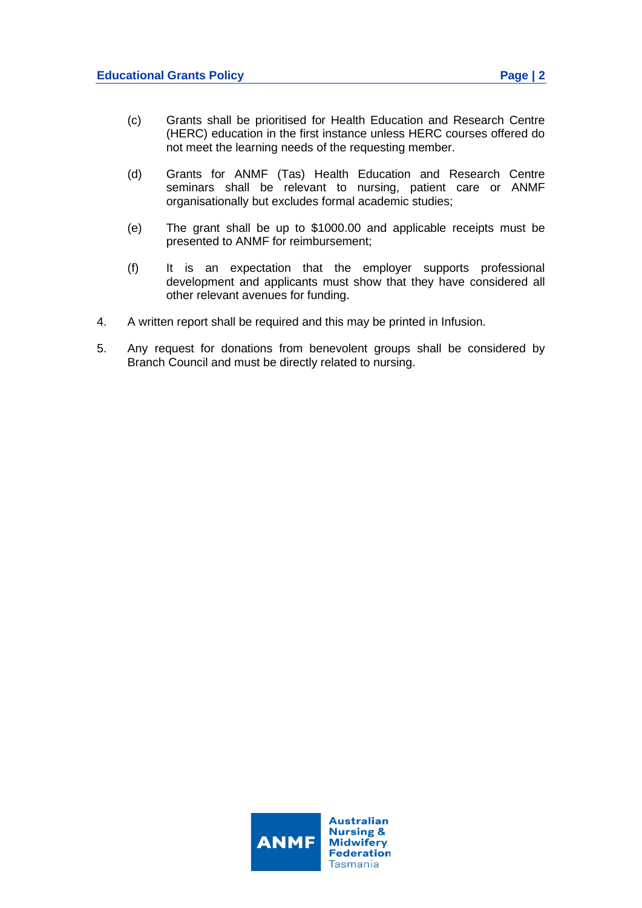- (c) Grants shall be prioritised for Health Education and Research Centre (HERC) education in the first instance unless HERC courses offered do not meet the learning needs of the requesting member.
- (d) Grants for ANMF (Tas) Health Education and Research Centre seminars shall be relevant to nursing, patient care or ANMF organisationally but excludes formal academic studies;
- (e) The grant shall be up to \$1000.00 and applicable receipts must be presented to ANMF for reimbursement;
- (f) It is an expectation that the employer supports professional development and applicants must show that they have considered all other relevant avenues for funding.
- 4. A written report shall be required and this may be printed in Infusion.
- 5. Any request for donations from benevolent groups shall be considered by Branch Council and must be directly related to nursing.